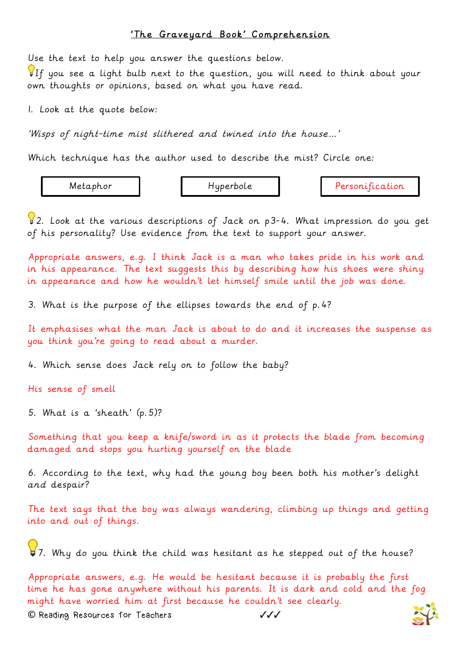## 'The Graveyard Book' Comprehension

Use the text to help you answer the questions below.

If you see a light bulb next to the question, you will need to think about your own thoughts or opinions, based on what you have read.

1. Look at the quote below:

'Wisps of night-time mist slithered and twined into the house…'

Which technique has the author used to describe the mist? Circle one:

Metaphor | Hyperbole | Personification

 $\sqrt{2}$ . Look at the various descriptions of Jack on p3-4. What impression do you get of his personality? Use evidence from the text to support your answer.

Appropriate answers, e.g. I think Jack is a man who takes pride in his work and in his appearance. The text suggests this by describing how his shoes were shiny in appearance and how he wouldn't let himself smile until the job was done.

3. What is the purpose of the ellipses towards the end of p.4?

It emphasises what the man Jack is about to do and it increases the suspense as you think you're going to read about a murder.

4. Which sense does Jack rely on to follow the baby?

His sense of smell

5. What is a 'sheath' (p.5)?

Something that you keep a knife/sword in as it protects the blade from becoming damaged and stops you hurting yourself on the blade

6. According to the text, why had the young boy been both his mother's delight and despair?

The text says that the boy was always wandering, climbing up things and getting into and out of things.

17. Why do you think the child was hesitant as he stepped out of the house?

Appropriate answers, e.g. He would be hesitant because it is probably the first time he has gone anywhere without his parents. It is dark and cold and the fog might have worried him at first because he couldn't see clearly.

**©** Reading Resources for Teachers ✓✓✓